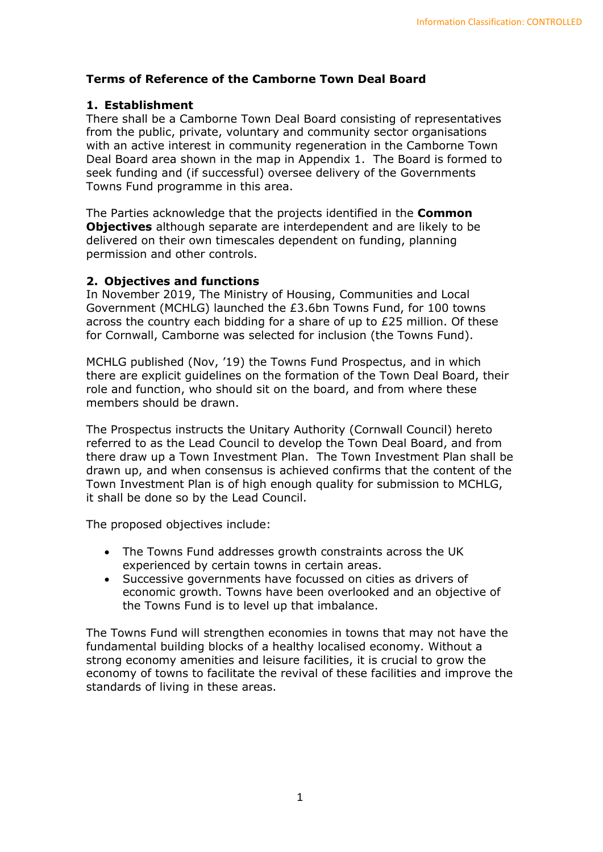# **Terms of Reference of the Camborne Town Deal Board**

### **1. Establishment**

There shall be a Camborne Town Deal Board consisting of representatives from the public, private, voluntary and community sector organisations with an active interest in community regeneration in the Camborne Town Deal Board area shown in the map in Appendix 1. The Board is formed to seek funding and (if successful) oversee delivery of the Governments Towns Fund programme in this area.

The Parties acknowledge that the projects identified in the **Common Objectives** although separate are interdependent and are likely to be delivered on their own timescales dependent on funding, planning permission and other controls.

#### **2. Objectives and functions**

In November 2019, The Ministry of Housing, Communities and Local Government (MCHLG) launched the £3.6bn Towns Fund, for 100 towns across the country each bidding for a share of up to £25 million. Of these for Cornwall, Camborne was selected for inclusion (the Towns Fund).

MCHLG published (Nov, '19) the Towns Fund Prospectus, and in which there are explicit guidelines on the formation of the Town Deal Board, their role and function, who should sit on the board, and from where these members should be drawn.

The Prospectus instructs the Unitary Authority (Cornwall Council) hereto referred to as the Lead Council to develop the Town Deal Board, and from there draw up a Town Investment Plan. The Town Investment Plan shall be drawn up, and when consensus is achieved confirms that the content of the Town Investment Plan is of high enough quality for submission to MCHLG, it shall be done so by the Lead Council.

The proposed objectives include:

- The Towns Fund addresses growth constraints across the UK experienced by certain towns in certain areas.
- Successive governments have focussed on cities as drivers of economic growth. Towns have been overlooked and an objective of the Towns Fund is to level up that imbalance.

The Towns Fund will strengthen economies in towns that may not have the fundamental building blocks of a healthy localised economy. Without a strong economy amenities and leisure facilities, it is crucial to grow the economy of towns to facilitate the revival of these facilities and improve the standards of living in these areas.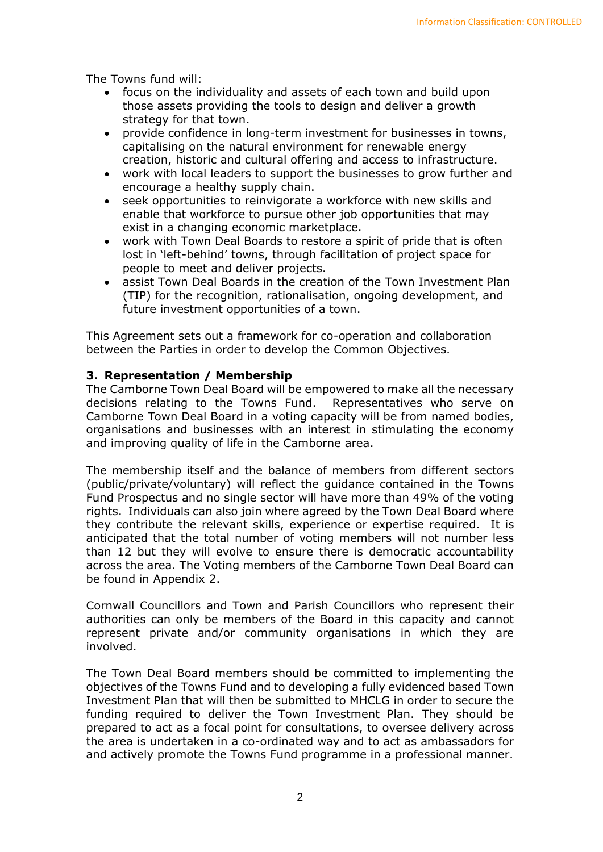The Towns fund will:

- focus on the individuality and assets of each town and build upon those assets providing the tools to design and deliver a growth strategy for that town.
- provide confidence in long-term investment for businesses in towns, capitalising on the natural environment for renewable energy creation, historic and cultural offering and access to infrastructure.
- work with local leaders to support the businesses to grow further and encourage a healthy supply chain.
- seek opportunities to reinvigorate a workforce with new skills and enable that workforce to pursue other job opportunities that may exist in a changing economic marketplace.
- work with Town Deal Boards to restore a spirit of pride that is often lost in 'left-behind' towns, through facilitation of project space for people to meet and deliver projects.
- assist Town Deal Boards in the creation of the Town Investment Plan (TIP) for the recognition, rationalisation, ongoing development, and future investment opportunities of a town.

This Agreement sets out a framework for co-operation and collaboration between the Parties in order to develop the Common Objectives.

#### **3. Representation / Membership**

The Camborne Town Deal Board will be empowered to make all the necessary decisions relating to the Towns Fund. Representatives who serve on Camborne Town Deal Board in a voting capacity will be from named bodies, organisations and businesses with an interest in stimulating the economy and improving quality of life in the Camborne area.

The membership itself and the balance of members from different sectors (public/private/voluntary) will reflect the guidance contained in the Towns Fund Prospectus and no single sector will have more than 49% of the voting rights. Individuals can also join where agreed by the Town Deal Board where they contribute the relevant skills, experience or expertise required. It is anticipated that the total number of voting members will not number less than 12 but they will evolve to ensure there is democratic accountability across the area. The Voting members of the Camborne Town Deal Board can be found in Appendix 2.

Cornwall Councillors and Town and Parish Councillors who represent their authorities can only be members of the Board in this capacity and cannot represent private and/or community organisations in which they are involved.

The Town Deal Board members should be committed to implementing the objectives of the Towns Fund and to developing a fully evidenced based Town Investment Plan that will then be submitted to MHCLG in order to secure the funding required to deliver the Town Investment Plan. They should be prepared to act as a focal point for consultations, to oversee delivery across the area is undertaken in a co-ordinated way and to act as ambassadors for and actively promote the Towns Fund programme in a professional manner.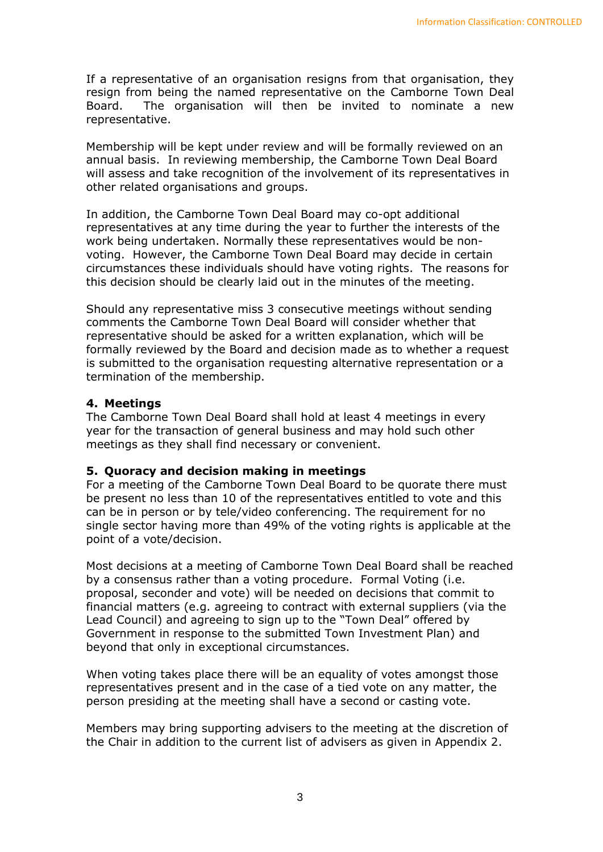If a representative of an organisation resigns from that organisation, they resign from being the named representative on the Camborne Town Deal Board. The organisation will then be invited to nominate a new representative.

Membership will be kept under review and will be formally reviewed on an annual basis. In reviewing membership, the Camborne Town Deal Board will assess and take recognition of the involvement of its representatives in other related organisations and groups.

In addition, the Camborne Town Deal Board may co-opt additional representatives at any time during the year to further the interests of the work being undertaken. Normally these representatives would be nonvoting. However, the Camborne Town Deal Board may decide in certain circumstances these individuals should have voting rights. The reasons for this decision should be clearly laid out in the minutes of the meeting.

Should any representative miss 3 consecutive meetings without sending comments the Camborne Town Deal Board will consider whether that representative should be asked for a written explanation, which will be formally reviewed by the Board and decision made as to whether a request is submitted to the organisation requesting alternative representation or a termination of the membership.

### **4. Meetings**

The Camborne Town Deal Board shall hold at least 4 meetings in every year for the transaction of general business and may hold such other meetings as they shall find necessary or convenient.

### **5. Quoracy and decision making in meetings**

For a meeting of the Camborne Town Deal Board to be quorate there must be present no less than 10 of the representatives entitled to vote and this can be in person or by tele/video conferencing. The requirement for no single sector having more than 49% of the voting rights is applicable at the point of a vote/decision.

Most decisions at a meeting of Camborne Town Deal Board shall be reached by a consensus rather than a voting procedure. Formal Voting (i.e. proposal, seconder and vote) will be needed on decisions that commit to financial matters (e.g. agreeing to contract with external suppliers (via the Lead Council) and agreeing to sign up to the "Town Deal" offered by Government in response to the submitted Town Investment Plan) and beyond that only in exceptional circumstances.

When voting takes place there will be an equality of votes amongst those representatives present and in the case of a tied vote on any matter, the person presiding at the meeting shall have a second or casting vote.

Members may bring supporting advisers to the meeting at the discretion of the Chair in addition to the current list of advisers as given in Appendix 2.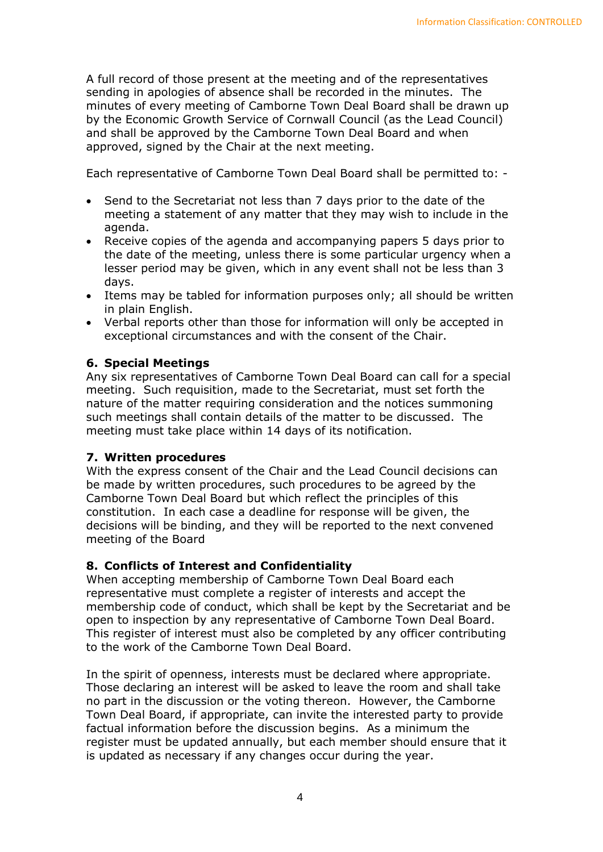A full record of those present at the meeting and of the representatives sending in apologies of absence shall be recorded in the minutes. The minutes of every meeting of Camborne Town Deal Board shall be drawn up by the Economic Growth Service of Cornwall Council (as the Lead Council) and shall be approved by the Camborne Town Deal Board and when approved, signed by the Chair at the next meeting.

Each representative of Camborne Town Deal Board shall be permitted to: -

- Send to the Secretariat not less than 7 days prior to the date of the meeting a statement of any matter that they may wish to include in the agenda.
- Receive copies of the agenda and accompanying papers 5 days prior to the date of the meeting, unless there is some particular urgency when a lesser period may be given, which in any event shall not be less than 3 days.
- Items may be tabled for information purposes only; all should be written in plain English.
- Verbal reports other than those for information will only be accepted in exceptional circumstances and with the consent of the Chair.

# **6. Special Meetings**

Any six representatives of Camborne Town Deal Board can call for a special meeting. Such requisition, made to the Secretariat, must set forth the nature of the matter requiring consideration and the notices summoning such meetings shall contain details of the matter to be discussed. The meeting must take place within 14 days of its notification.

### **7. Written procedures**

With the express consent of the Chair and the Lead Council decisions can be made by written procedures, such procedures to be agreed by the Camborne Town Deal Board but which reflect the principles of this constitution. In each case a deadline for response will be given, the decisions will be binding, and they will be reported to the next convened meeting of the Board

### **8. Conflicts of Interest and Confidentiality**

When accepting membership of Camborne Town Deal Board each representative must complete a register of interests and accept the membership code of conduct, which shall be kept by the Secretariat and be open to inspection by any representative of Camborne Town Deal Board. This register of interest must also be completed by any officer contributing to the work of the Camborne Town Deal Board.

In the spirit of openness, interests must be declared where appropriate. Those declaring an interest will be asked to leave the room and shall take no part in the discussion or the voting thereon. However, the Camborne Town Deal Board, if appropriate, can invite the interested party to provide factual information before the discussion begins. As a minimum the register must be updated annually, but each member should ensure that it is updated as necessary if any changes occur during the year.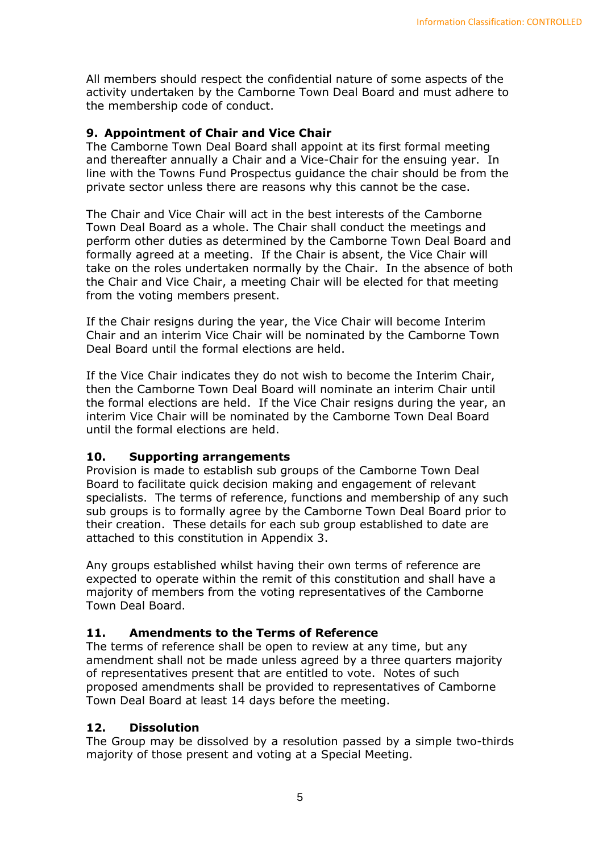All members should respect the confidential nature of some aspects of the activity undertaken by the Camborne Town Deal Board and must adhere to the membership code of conduct.

## **9. Appointment of Chair and Vice Chair**

The Camborne Town Deal Board shall appoint at its first formal meeting and thereafter annually a Chair and a Vice-Chair for the ensuing year. In line with the Towns Fund Prospectus guidance the chair should be from the private sector unless there are reasons why this cannot be the case.

The Chair and Vice Chair will act in the best interests of the Camborne Town Deal Board as a whole. The Chair shall conduct the meetings and perform other duties as determined by the Camborne Town Deal Board and formally agreed at a meeting. If the Chair is absent, the Vice Chair will take on the roles undertaken normally by the Chair. In the absence of both the Chair and Vice Chair, a meeting Chair will be elected for that meeting from the voting members present.

If the Chair resigns during the year, the Vice Chair will become Interim Chair and an interim Vice Chair will be nominated by the Camborne Town Deal Board until the formal elections are held.

If the Vice Chair indicates they do not wish to become the Interim Chair, then the Camborne Town Deal Board will nominate an interim Chair until the formal elections are held. If the Vice Chair resigns during the year, an interim Vice Chair will be nominated by the Camborne Town Deal Board until the formal elections are held.

### **10. Supporting arrangements**

Provision is made to establish sub groups of the Camborne Town Deal Board to facilitate quick decision making and engagement of relevant specialists. The terms of reference, functions and membership of any such sub groups is to formally agree by the Camborne Town Deal Board prior to their creation. These details for each sub group established to date are attached to this constitution in Appendix 3.

Any groups established whilst having their own terms of reference are expected to operate within the remit of this constitution and shall have a majority of members from the voting representatives of the Camborne Town Deal Board.

### **11. Amendments to the Terms of Reference**

The terms of reference shall be open to review at any time, but any amendment shall not be made unless agreed by a three quarters majority of representatives present that are entitled to vote. Notes of such proposed amendments shall be provided to representatives of Camborne Town Deal Board at least 14 days before the meeting.

### **12. Dissolution**

The Group may be dissolved by a resolution passed by a simple two-thirds majority of those present and voting at a Special Meeting.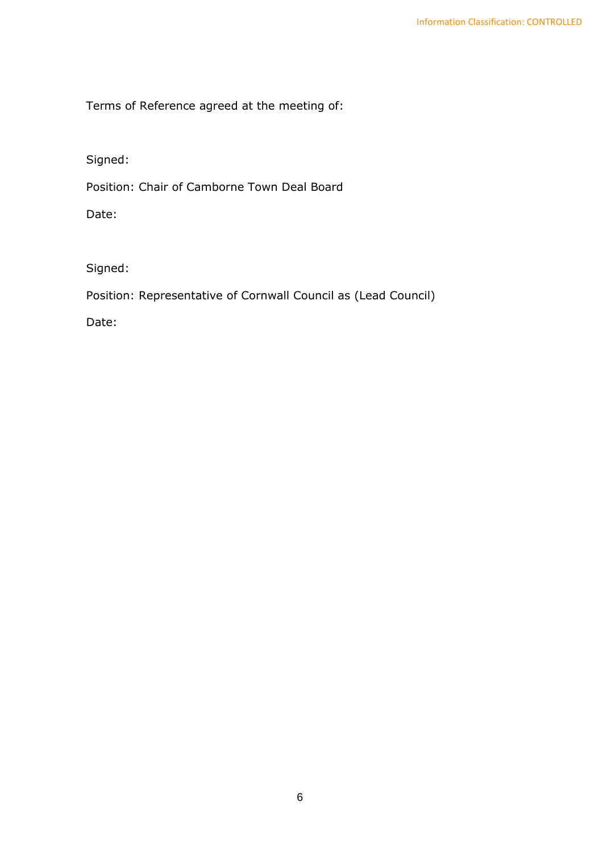Terms of Reference agreed at the meeting of:

Signed:

Position: Chair of Camborne Town Deal Board

Date:

Signed:

Position: Representative of Cornwall Council as (Lead Council)

Date: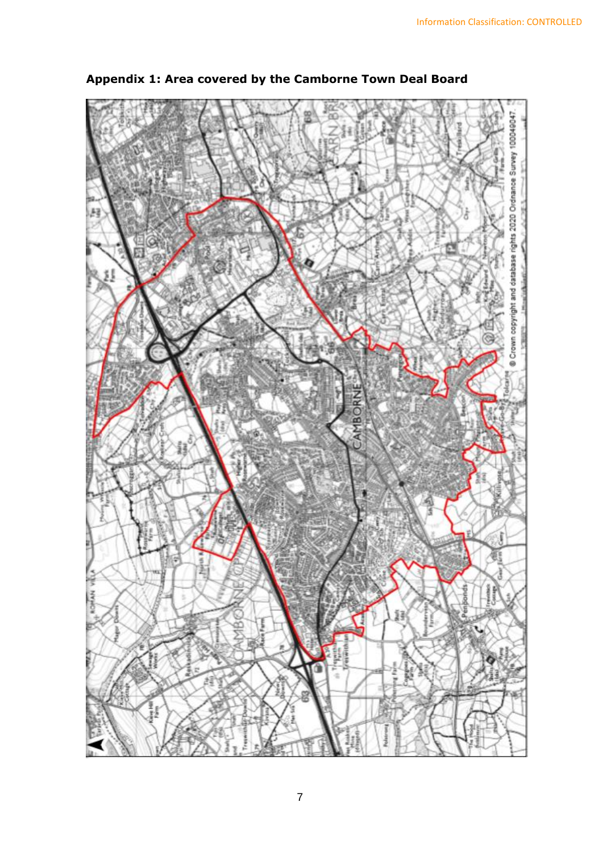

**Appendix 1: Area covered by the Camborne Town Deal Board**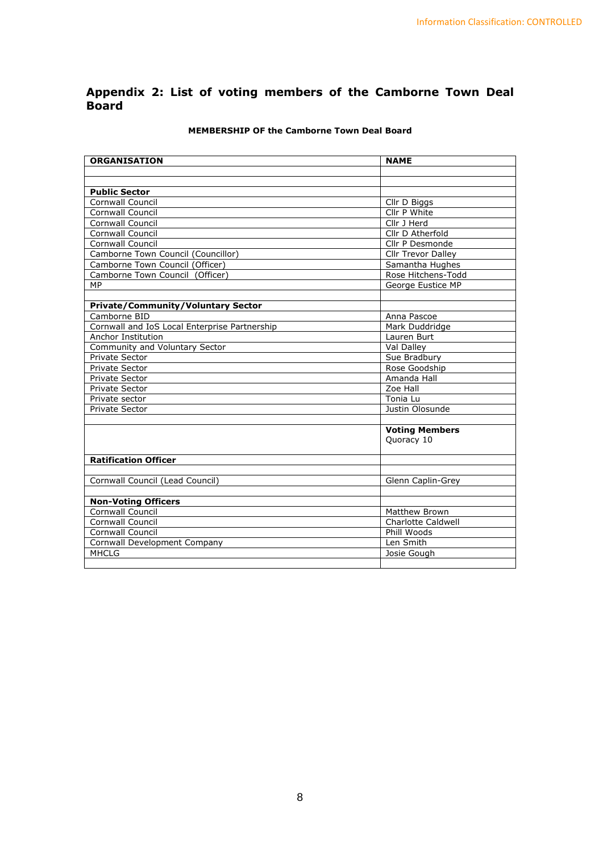#### **Appendix 2: List of voting members of the Camborne Town Deal Board**

| <b>ORGANISATION</b>                            | <b>NAME</b>           |
|------------------------------------------------|-----------------------|
|                                                |                       |
|                                                |                       |
| <b>Public Sector</b>                           |                       |
| Cornwall Council                               | Cllr D Biggs          |
| Cornwall Council                               | Cllr P White          |
| <b>Cornwall Council</b>                        | Cllr J Herd           |
| <b>Cornwall Council</b>                        | Cllr D Atherfold      |
| <b>Cornwall Council</b>                        | Cllr P Desmonde       |
| Camborne Town Council (Councillor)             | Cllr Trevor Dalley    |
| Camborne Town Council (Officer)                | Samantha Hughes       |
| Camborne Town Council (Officer)                | Rose Hitchens-Todd    |
| MP                                             | George Eustice MP     |
|                                                |                       |
| <b>Private/Community/Voluntary Sector</b>      |                       |
| Camborne BID                                   | Anna Pascoe           |
| Cornwall and IoS Local Enterprise Partnership  | Mark Duddridge        |
| Anchor Institution                             | Lauren Burt           |
| Community and Voluntary Sector                 | Val Dalley            |
| Private Sector                                 | Sue Bradbury          |
| <b>Private Sector</b>                          | Rose Goodship         |
| <b>Private Sector</b>                          | Amanda Hall           |
| <b>Private Sector</b>                          | Zoe Hall              |
| Private sector                                 | Tonia Lu              |
| <b>Private Sector</b>                          | Justin Olosunde       |
|                                                |                       |
|                                                | <b>Voting Members</b> |
|                                                | Quoracy 10            |
|                                                |                       |
| <b>Ratification Officer</b>                    |                       |
|                                                |                       |
| Cornwall Council (Lead Council)                | Glenn Caplin-Grey     |
|                                                |                       |
| <b>Non-Voting Officers</b><br>Cornwall Council | Matthew Brown         |
| <b>Cornwall Council</b>                        | Charlotte Caldwell    |
| <b>Cornwall Council</b>                        | Phill Woods           |
|                                                | Len Smith             |
| Cornwall Development Company<br><b>MHCLG</b>   | Josie Gough           |
|                                                |                       |

#### **MEMBERSHIP OF the Camborne Town Deal Board**